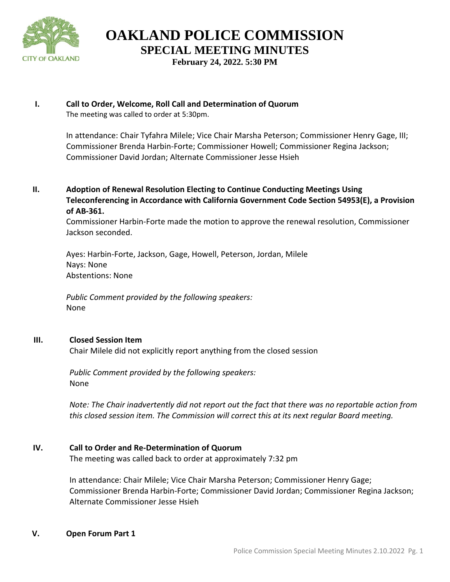

**February 24, 2022. 5:30 PM**

# **I. Call to Order, Welcome, Roll Call and Determination of Quorum**

The meeting was called to order at 5:30pm.

In attendance: Chair Tyfahra Milele; Vice Chair Marsha Peterson; Commissioner Henry Gage, III; Commissioner Brenda Harbin-Forte; Commissioner Howell; Commissioner Regina Jackson; Commissioner David Jordan; Alternate Commissioner Jesse Hsieh

**II. Adoption of Renewal Resolution Electing to Continue Conducting Meetings Using Teleconferencing in Accordance with California Government Code Section 54953(E), a Provision of AB-361.** 

Commissioner Harbin-Forte made the motion to approve the renewal resolution, Commissioner Jackson seconded.

Ayes: Harbin-Forte, Jackson, Gage, Howell, Peterson, Jordan, Milele Nays: None Abstentions: None

*Public Comment provided by the following speakers:*  None

# **III. Closed Session Item**

Chair Milele did not explicitly report anything from the closed session

*Public Comment provided by the following speakers:*  None

*Note: The Chair inadvertently did not report out the fact that there was no reportable action from this closed session item. The Commission will correct this at its next regular Board meeting.* 

# **IV. Call to Order and Re-Determination of Quorum**

The meeting was called back to order at approximately 7:32 pm

In attendance: Chair Milele; Vice Chair Marsha Peterson; Commissioner Henry Gage; Commissioner Brenda Harbin-Forte; Commissioner David Jordan; Commissioner Regina Jackson; Alternate Commissioner Jesse Hsieh

# **V. Open Forum Part 1**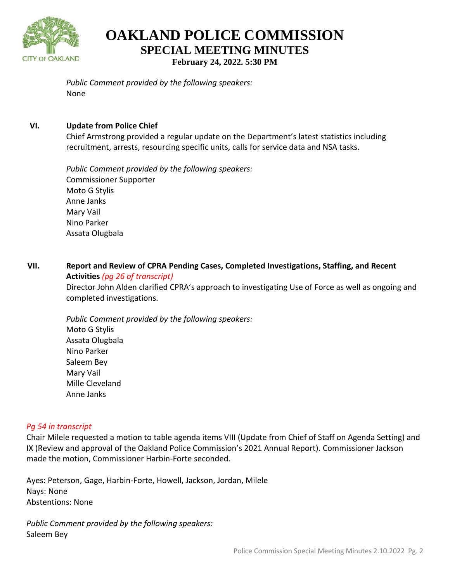

**OAKLAND POLICE COMMISSION SPECIAL MEETING MINUTES February 24, 2022. 5:30 PM**

*Public Comment provided by the following speakers:*  None

# **VI. Update from Police Chief**

Chief Armstrong provided a regular update on the Department's latest statistics including recruitment, arrests, resourcing specific units, calls for service data and NSA tasks.

*Public Comment provided by the following speakers:*  Commissioner Supporter Moto G Stylis Anne Janks Mary Vail Nino Parker Assata Olugbala

# **VII. Report and Review of CPRA Pending Cases, Completed Investigations, Staffing, and Recent Activities** *(pg 26 of transcript)*

Director John Alden clarified CPRA's approach to investigating Use of Force as well as ongoing and completed investigations.

*Public Comment provided by the following speakers:*  Moto G Stylis Assata Olugbala Nino Parker Saleem Bey Mary Vail Mille Cleveland Anne Janks

# *Pg 54 in transcript*

Chair Milele requested a motion to table agenda items VIII (Update from Chief of Staff on Agenda Setting) and IX (Review and approval of the Oakland Police Commission's 2021 Annual Report). Commissioner Jackson made the motion, Commissioner Harbin-Forte seconded.

Ayes: Peterson, Gage, Harbin-Forte, Howell, Jackson, Jordan, Milele Nays: None Abstentions: None

*Public Comment provided by the following speakers:*  Saleem Bey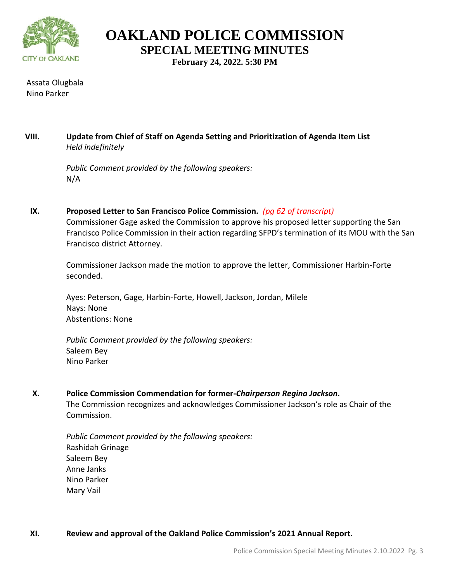

**February 24, 2022. 5:30 PM**

Assata Olugbala Nino Parker

# **VIII. Update from Chief of Staff on Agenda Setting and Prioritization of Agenda Item List** *Held indefinitely*

*Public Comment provided by the following speakers:*  N/A

**IX. Proposed Letter to San Francisco Police Commission***. (pg 62 of transcript)* Commissioner Gage asked the Commission to approve his proposed letter supporting the San Francisco Police Commission in their action regarding SFPD's termination of its MOU with the San Francisco district Attorney.

Commissioner Jackson made the motion to approve the letter, Commissioner Harbin-Forte seconded.

Ayes: Peterson, Gage, Harbin-Forte, Howell, Jackson, Jordan, Milele Nays: None Abstentions: None

*Public Comment provided by the following speakers:*  Saleem Bey Nino Parker

# **X. Police Commission Commendation for former-***Chairperson Regina Jackson.*

The Commission recognizes and acknowledges Commissioner Jackson's role as Chair of the Commission.

*Public Comment provided by the following speakers:*  Rashidah Grinage Saleem Bey Anne Janks Nino Parker Mary Vail

# **XI. Review and approval of the Oakland Police Commission's 2021 Annual Report.**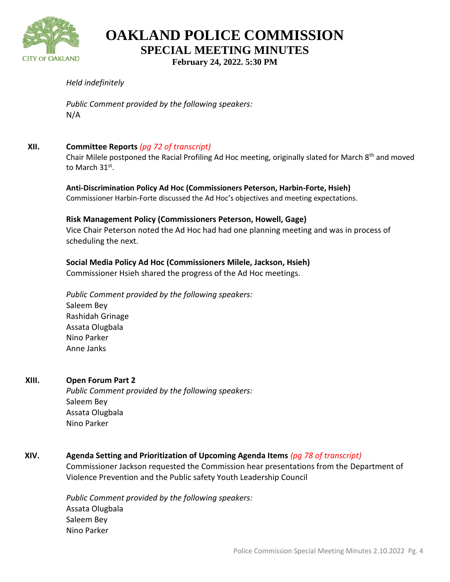

**February 24, 2022. 5:30 PM**

# *Held indefinitely*

*Public Comment provided by the following speakers:*  N/A

### **XII. Committee Reports** *(pg 72 of transcript)*

Chair Milele postponed the Racial Profiling Ad Hoc meeting, originally slated for March 8<sup>th</sup> and moved to March  $31^\text{st}$ .

**Anti-Discrimination Policy Ad Hoc (Commissioners Peterson, Harbin-Forte, Hsieh)**  Commissioner Harbin-Forte discussed the Ad Hoc's objectives and meeting expectations.

#### **Risk Management Policy (Commissioners Peterson, Howell, Gage)**

Vice Chair Peterson noted the Ad Hoc had had one planning meeting and was in process of scheduling the next.

### **Social Media Policy Ad Hoc (Commissioners Milele, Jackson, Hsieh)**

Commissioner Hsieh shared the progress of the Ad Hoc meetings.

*Public Comment provided by the following speakers:*  Saleem Bey Rashidah Grinage Assata Olugbala Nino Parker Anne Janks

# **XIII. Open Forum Part 2**

*Public Comment provided by the following speakers:*  Saleem Bey Assata Olugbala Nino Parker

**XIV. Agenda Setting and Prioritization of Upcoming Agenda Items** *(pg 78 of transcript)*

Commissioner Jackson requested the Commission hear presentations from the Department of Violence Prevention and the Public safety Youth Leadership Council

*Public Comment provided by the following speakers:*  Assata Olugbala Saleem Bey Nino Parker